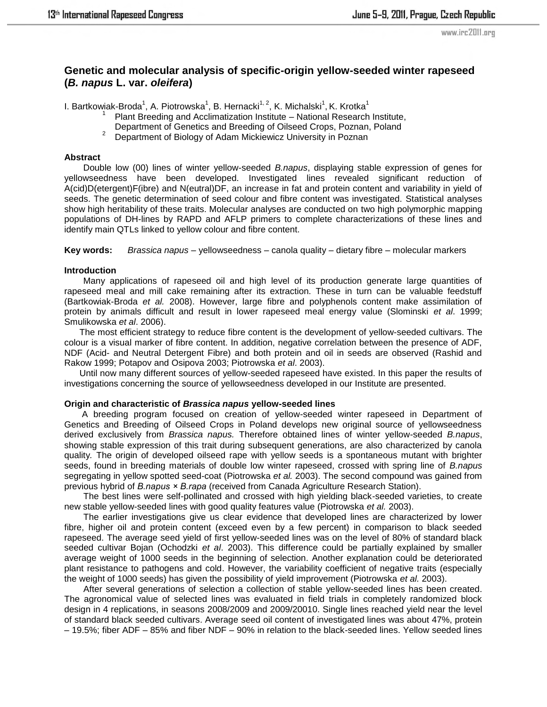www.irc2011.org

# **Genetic and molecular analysis of specific-origin yellow-seeded winter rapeseed (***B. napus* **L. var.** *oleifera***)**

I. Bartkowiak-Broda<sup>1</sup>, A. Piotrowska<sup>1</sup>, B. Hernacki<sup>1, 2</sup>, K. Michalski<sup>1</sup>, K. Krotka<sup>1</sup>

- Plant Breeding and Acclimatization Institute National Research Institute,
	- Department of Genetics and Breeding of Oilseed Crops, Poznan, Poland
- <sup>2</sup> Department of Biology of Adam Mickiewicz University in Poznan

## **Abstract**

Double low (00) lines of winter yellow-seeded *B.napus*, displaying stable expression of genes for yellowseedness have been developed. Investigated lines revealed significant reduction of A(cid)D(etergent)F(ibre) and N(eutral)DF, an increase in fat and protein content and variability in yield of seeds. The genetic determination of seed colour and fibre content was investigated. Statistical analyses show high heritability of these traits. Molecular analyses are conducted on two high polymorphic mapping populations of DH-lines by RAPD and AFLP primers to complete characterizations of these lines and identify main QTLs linked to yellow colour and fibre content.

**Key words:** *Brassica napus* – yellowseedness – canola quality – dietary fibre – molecular markers

## **Introduction**

Many applications of rapeseed oil and high level of its production generate large quantities of rapeseed meal and mill cake remaining after its extraction. These in turn can be valuable feedstuff (Bartkowiak-Broda *et al.* 2008). However, large fibre and polyphenols content make assimilation of protein by animals difficult and result in lower rapeseed meal energy value (Slominski *et al*. 1999; Smulikowska *et al*. 2006).

The most efficient strategy to reduce fibre content is the development of yellow-seeded cultivars. The colour is a visual marker of fibre content. In addition, negative correlation between the presence of ADF, NDF (Acid- and Neutral Detergent Fibre) and both protein and oil in seeds are observed (Rashid and Rakow 1999; Potapov and Osipova 2003; Piotrowska *et al*. 2003).

Until now many different sources of yellow-seeded rapeseed have existed. In this paper the results of investigations concerning the source of yellowseedness developed in our Institute are presented.

### **Origin and characteristic of** *Brassica napus* **yellow-seeded lines**

A breeding program focused on creation of yellow-seeded winter rapeseed in Department of Genetics and Breeding of Oilseed Crops in Poland develops new original source of yellowseedness derived exclusively from *Brassica napus.* Therefore obtained lines of winter yellow-seeded *B.napus*, showing stable expression of this trait during subsequent generations, are also characterized by canola quality*.* The origin of developed oilseed rape with yellow seeds is a spontaneous mutant with brighter seeds, found in breeding materials of double low winter rapeseed, crossed with spring line of *B.napus*  segregating in yellow spotted seed-coat (Piotrowska *et al.* 2003). The second compound was gained from previous hybrid of *B.napus × B.rapa* (received from Canada Agriculture Research Station).

The best lines were self-pollinated and crossed with high yielding black-seeded varieties, to create new stable yellow-seeded lines with good quality features value (Piotrowska *et al.* 2003).

The earlier investigations give us clear evidence that developed lines are characterized by lower fibre, higher oil and protein content (exceed even by a few percent) in comparison to black seeded rapeseed. The average seed yield of first yellow-seeded lines was on the level of 80% of standard black seeded cultivar Bojan (Ochodzki *et al*. 2003). This difference could be partially explained by smaller average weight of 1000 seeds in the beginning of selection. Another explanation could be deteriorated plant resistance to pathogens and cold. However, the variability coefficient of negative traits (especially the weight of 1000 seeds) has given the possibility of yield improvement (Piotrowska *et al.* 2003).

After several generations of selection a collection of stable yellow-seeded lines has been created. The agronomical value of selected lines was evaluated in field trials in completely randomized block design in 4 replications, in seasons 2008/2009 and 2009/20010. Single lines reached yield near the level of standard black seeded cultivars. Average seed oil content of investigated lines was about 47%, protein – 19.5%; fiber ADF – 85% and fiber NDF – 90% in relation to the black-seeded lines. Yellow seeded lines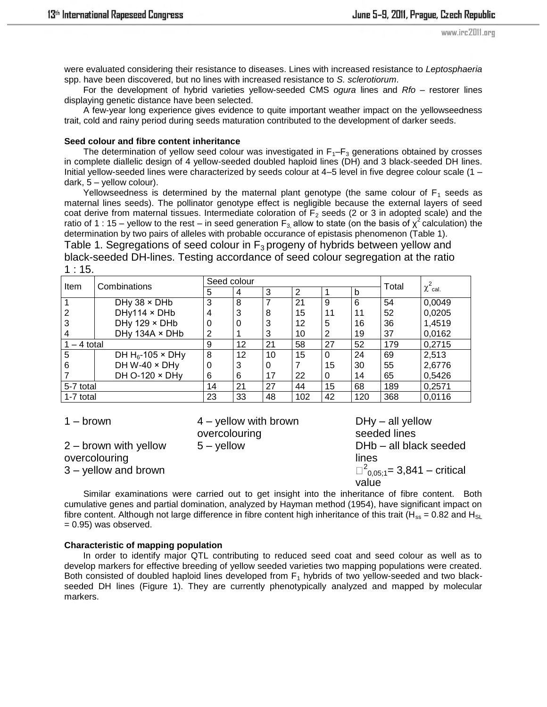were evaluated considering their resistance to diseases. Lines with increased resistance to *Leptosphaeria* spp. have been discovered, but no lines with increased resistance to *S. sclerotiorum*.

For the development of hybrid varieties yellow-seeded CMS *ogura* lines and *Rfo –* restorer lines displaying genetic distance have been selected.

A few-year long experience gives evidence to quite important weather impact on the yellowseedness trait, cold and rainy period during seeds maturation contributed to the development of darker seeds.

### **Seed colour and fibre content inheritance**

The determination of yellow seed colour was investigated in  $F_1-F_3$  generations obtained by crosses in complete diallelic design of 4 yellow-seeded doubled haploid lines (DH) and 3 black-seeded DH lines. Initial yellow-seeded lines were characterized by seeds colour at 4–5 level in five degree colour scale (1 – dark, 5 – yellow colour).

Yellowseedness is determined by the maternal plant genotype (the same colour of  $F_1$  seeds as maternal lines seeds). The pollinator genotype effect is negligible because the external layers of seed coat derive from maternal tissues. Intermediate coloration of  $F_2$  seeds (2 or 3 in adopted scale) and the ratio of 1 : 15 – yellow to the rest – in seed generation F<sub>3</sub> allow to state (on the basis of  $\chi^2$  calculation) the determination by two pairs of alleles with probable occurance of epistasis phenomenon (Table 1).

Table 1. Segregations of seed colour in  $F_3$  progeny of hybrids between yellow and black-seeded DH-lines. Testing accordance of seed colour segregation at the ratio  $1:15.$ 

| Item           | Combinations          |    | Seed colour |    |                |    |     |       |                          |
|----------------|-----------------------|----|-------------|----|----------------|----|-----|-------|--------------------------|
|                |                       | 5  | 4           | 3  | $\overline{2}$ |    | b   | Total | $\chi$ <sup>-</sup> cal. |
|                | DHy $38 \times$ DHb   | 3  | 8           |    | 21             | 9  | 6   | 54    | 0,0049                   |
| $\overline{2}$ | $DHy114 \times DHb$   | 4  | 3           | 8  | 15             | 11 | 11  | 52    | 0,0205                   |
| 3              | $DHy 129 \times DHb$  |    | 0           | 3  | 12             | 5  | 16  | 36    | 1,4519                   |
| $\overline{4}$ | DHy 134A × DHb        |    |             | 3  | 10             | 2  | 19  | 37    | 0,0162                   |
| $-4$ total     |                       | 9  | 12          | 21 | 58             | 27 | 52  | 179   | 0,2715                   |
| 5              | DH $H_6$ -105 × DHy   | 8  | 12          | 10 | 15             | 0  | 24  | 69    | 2,513                    |
| 6              | DH $W-40 \times DH$   |    | 3           | 0  |                | 15 | 30  | 55    | 2,6776                   |
|                | DH $O-120 \times DHV$ | 6  | 6           | 17 | 22             | 0  | 14  | 65    | 0,5426                   |
| 5-7 total      |                       | 14 | 21          | 27 | 44             | 15 | 68  | 189   | 0,2571                   |
| 1-7 total      |                       | 23 | 33          | 48 | 102            | 42 | 120 | 368   | 0.0116                   |

| $1 - b$ rown                                                       | $4 -$ yellow with brown<br>overcolouring | $DHy - all$ yellow<br>seeded lines                                               |
|--------------------------------------------------------------------|------------------------------------------|----------------------------------------------------------------------------------|
| $2 -$ brown with yellow<br>overcolouring<br>$3 -$ yellow and brown | $5 -$ yellow                             | DHb - all black seeded<br>lines<br>$\Box^2_{0.05:1}$ = 3,841 – critical<br>value |

Similar examinations were carried out to get insight into the inheritance of fibre content. Both cumulative genes and partial domination, analyzed by Hayman method (1954), have significant impact on fibre content. Although not large difference in fibre content high inheritance of this trait (H<sub>ss</sub> = 0.82 and H<sub>SL</sub>  $= 0.95$ ) was observed.

## **Characteristic of mapping population**

In order to identify major QTL contributing to reduced seed coat and seed colour as well as to develop markers for effective breeding of yellow seeded varieties two mapping populations were created. Both consisted of doubled haploid lines developed from  $F_1$  hybrids of two yellow-seeded and two blackseeded DH lines (Figure 1). They are currently phenotypically analyzed and mapped by molecular markers.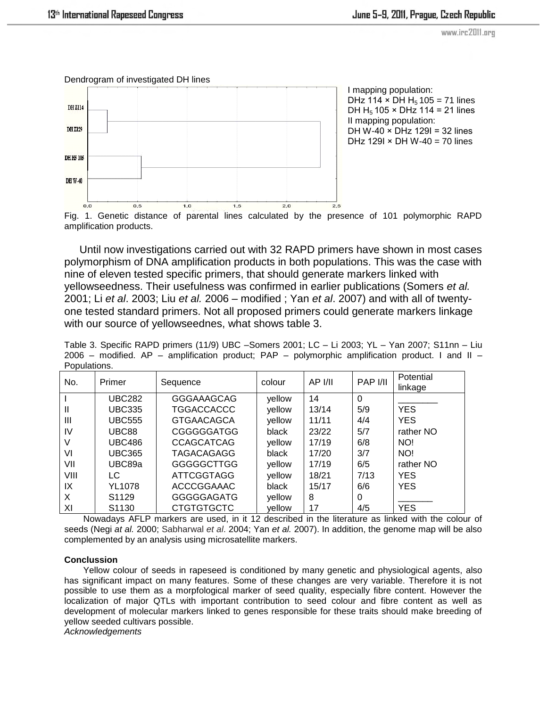## www.irc2011.org





Fig. 1. Genetic distance of parental lines calculated by the presence of 101 polymorphic RAPD amplification products.

Until now investigations carried out with 32 RAPD primers have shown in most cases polymorphism of DNA amplification products in both populations. This was the case with nine of eleven tested specific primers, that should generate markers linked with yellowseedness. Their usefulness was confirmed in earlier publications (Somers *et al.* 2001; Li *et al*. 2003; Liu *et al.* 2006 – modified ; Yan *et al*. 2007) and with all of twentyone tested standard primers. Not all proposed primers could generate markers linkage with our source of yellowseednes, what shows table 3.

Table 3. Specific RAPD primers (11/9) UBC –Somers 2001; LC – Li 2003; YL – Yan 2007; S11nn – Liu 2006 – modified. AP – amplification product; PAP – polymorphic amplification product. I and II – Populations.

| No.            | Primer            | Sequence          | colour | AP I/II | PAP I/II | Potential<br>linkage |
|----------------|-------------------|-------------------|--------|---------|----------|----------------------|
|                | <b>UBC282</b>     | <b>GGGAAAGCAG</b> | yellow | 14      | 0        |                      |
| Ш              | <b>UBC335</b>     | <b>TGGACCACCC</b> | yellow | 13/14   | 5/9      | <b>YES</b>           |
| $\mathbf{III}$ | <b>UBC555</b>     | <b>GTGAACAGCA</b> | yellow | 11/11   | 4/4      | <b>YES</b>           |
| IV             | UBC88             | <b>CGGGGGATGG</b> | black  | 23/22   | 5/7      | rather NO            |
| V              | <b>UBC486</b>     | <b>CCAGCATCAG</b> | yellow | 17/19   | 6/8      | NO!                  |
| VI             | <b>UBC365</b>     | TAGACAGAGG        | black  | 17/20   | 3/7      | NO!                  |
| VII            | UBC89a            | GGGGGCTTGG        | yellow | 17/19   | 6/5      | rather NO            |
| VIII           | LC                | <b>ATTCGGTAGG</b> | yellow | 18/21   | 7/13     | <b>YES</b>           |
| IX             | <b>YL1078</b>     | <b>ACCCGGAAAC</b> | black  | 15/17   | 6/6      | <b>YES</b>           |
| X              | S <sub>1129</sub> | <b>GGGGGAGATG</b> | yellow | 8       | 0        |                      |
| XI             | S1130             | <b>CTGTGTGCTC</b> | vellow | 17      | 4/5      | <b>YES</b>           |

Nowadays AFLP markers are used, in it 12 described in the literature as linked with the colour of seeds (Negi *at al.* 2000; Sabharwal *et al*. 2004; Yan *et al.* 2007). In addition, the genome map will be also complemented by an analysis using microsatellite markers.

### **Conclussion**

Yellow colour of seeds in rapeseed is conditioned by many genetic and physiological agents, also has significant impact on many features. Some of these changes are very variable. Therefore it is not possible to use them as a morpfological marker of seed quality, especially fibre content. However the localization of major QTLs with important contribution to seed colour and fibre content as well as development of molecular markers linked to genes responsible for these traits should make breeding of yellow seeded cultivars possible.

*Acknowledgements*